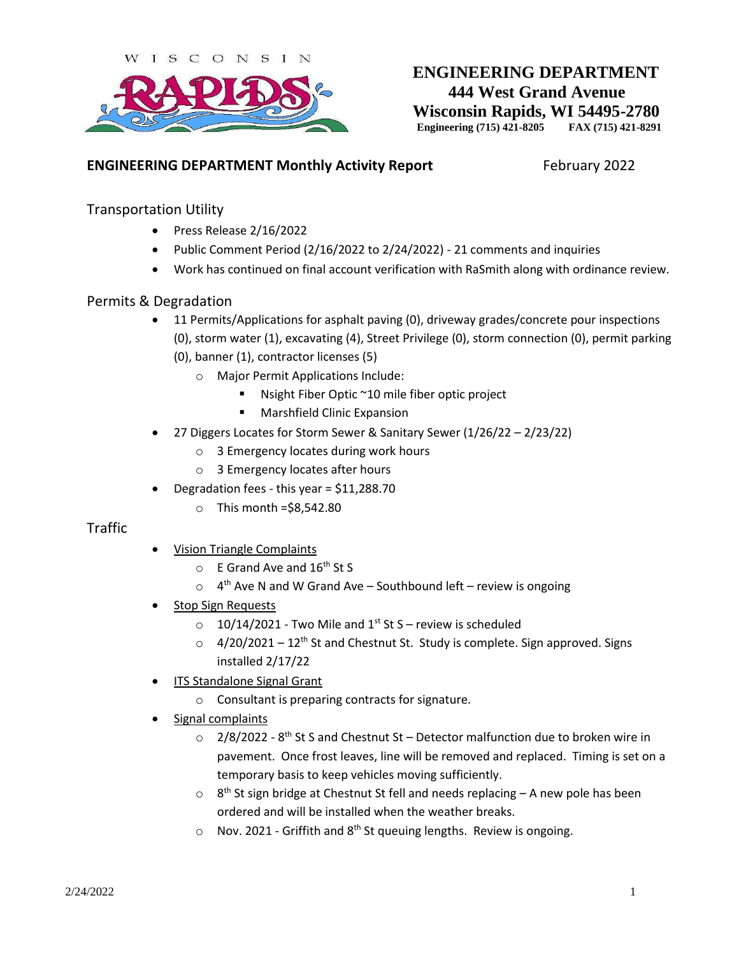

# **ENGINEERING DEPARTMENT 444 West Grand Avenue Wisconsin Rapids, WI 54495-2780 Engineering (715) 421-8205 FAX (715) 421-8291**

### **ENGINEERING DEPARTMENT Monthly Activity Report** February 2022

#### Transportation Utility

- Press Release 2/16/2022
- Public Comment Period (2/16/2022 to 2/24/2022) 21 comments and inquiries
- Work has continued on final account verification with RaSmith along with ordinance review.

#### Permits & Degradation

- 11 Permits/Applications for asphalt paving (0), driveway grades/concrete pour inspections (0), storm water (1), excavating (4), Street Privilege (0), storm connection (0), permit parking (0), banner (1), contractor licenses (5)
	- o Major Permit Applications Include:
		- Nsight Fiber Optic  $\sim$  10 mile fiber optic project
			- **Marshfield Clinic Expansion**
- 27 Diggers Locates for Storm Sewer & Sanitary Sewer (1/26/22 2/23/22)
	- o 3 Emergency locates during work hours
	- o 3 Emergency locates after hours
- Degradation fees this year = \$11,288.70
	- $\circ$  This month = \$8,542.80

#### Traffic

- Vision Triangle Complaints
	- $\circ$  E Grand Ave and 16<sup>th</sup> St S
	- $\circ$  4<sup>th</sup> Ave N and W Grand Ave Southbound left review is ongoing
- Stop Sign Requests
	- $\degree$  10/14/2021 Two Mile and 1<sup>st</sup> St S review is scheduled
	- $\circ$  4/20/2021 12<sup>th</sup> St and Chestnut St. Study is complete. Sign approved. Signs installed 2/17/22
- ITS Standalone Signal Grant
	- o Consultant is preparing contracts for signature.
- Signal complaints
	- $\circ$  2/8/2022 8<sup>th</sup> St S and Chestnut St Detector malfunction due to broken wire in pavement. Once frost leaves, line will be removed and replaced. Timing is set on a temporary basis to keep vehicles moving sufficiently.
	- $\circ$  8<sup>th</sup> St sign bridge at Chestnut St fell and needs replacing A new pole has been ordered and will be installed when the weather breaks.
	- $\circ$  Nov. 2021 Griffith and 8<sup>th</sup> St queuing lengths. Review is ongoing.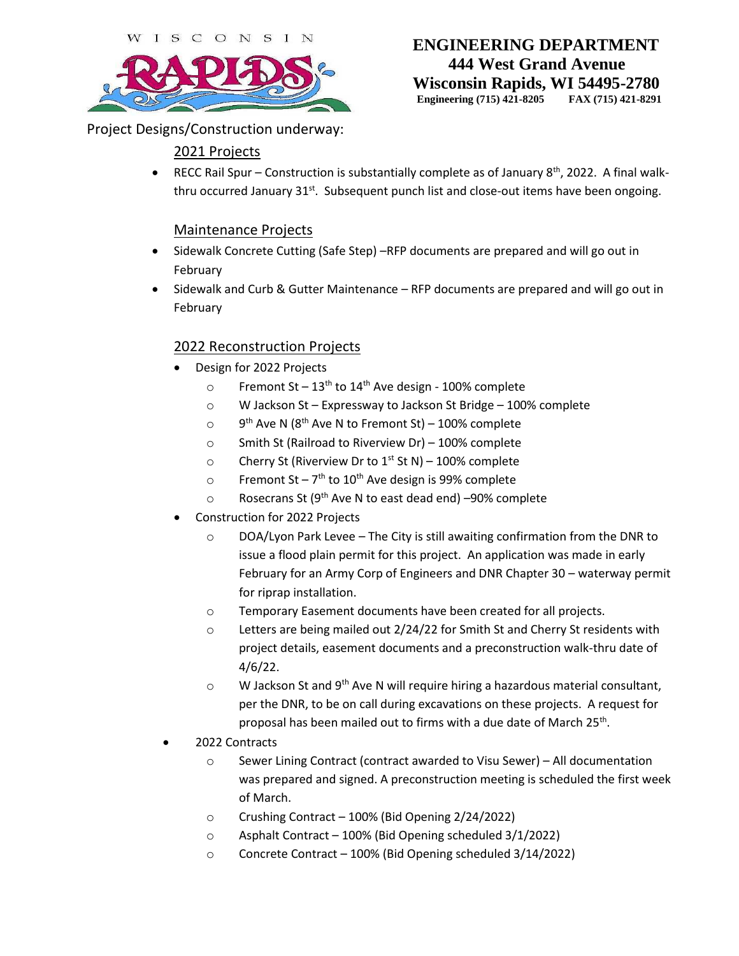

# **ENGINEERING DEPARTMENT 444 West Grand Avenue Wisconsin Rapids, WI 54495-2780**

**Engineering (715) 421-8205 FAX (715) 421-8291**

Project Designs/Construction underway:

# 2021 Projects

**•** RECC Rail Spur – Construction is substantially complete as of January  $8<sup>th</sup>$ , 2022. A final walkthru occurred January 31<sup>st</sup>. Subsequent punch list and close-out items have been ongoing.

### Maintenance Projects

- Sidewalk Concrete Cutting (Safe Step) –RFP documents are prepared and will go out in February
- Sidewalk and Curb & Gutter Maintenance RFP documents are prepared and will go out in February

### 2022 Reconstruction Projects

- Design for 2022 Projects
	- o Fremont St  $13<sup>th</sup>$  to  $14<sup>th</sup>$  Ave design 100% complete
	- o W Jackson St Expressway to Jackson St Bridge 100% complete
	- $\circ$  $9<sup>th</sup>$  Ave N (8<sup>th</sup> Ave N to Fremont St) – 100% complete
	- o Smith St (Railroad to Riverview Dr) 100% complete
	- o Cherry St (Riverview Dr to  $1<sup>st</sup>$  St N) 100% complete
	- o Fremont St 7<sup>th</sup> to 10<sup>th</sup> Ave design is 99% complete
	- o Rosecrans St (9th Ave N to east dead end) –90% complete
- Construction for 2022 Projects
	- $\circ$  DOA/Lyon Park Levee The City is still awaiting confirmation from the DNR to issue a flood plain permit for this project. An application was made in early February for an Army Corp of Engineers and DNR Chapter 30 – waterway permit for riprap installation.
	- o Temporary Easement documents have been created for all projects.
	- o Letters are being mailed out 2/24/22 for Smith St and Cherry St residents with project details, easement documents and a preconstruction walk-thru date of 4/6/22.
	- $\circ$  W Jackson St and 9<sup>th</sup> Ave N will require hiring a hazardous material consultant, per the DNR, to be on call during excavations on these projects. A request for proposal has been mailed out to firms with a due date of March 25<sup>th</sup>.
- 2022 Contracts
	- o Sewer Lining Contract (contract awarded to Visu Sewer) All documentation was prepared and signed. A preconstruction meeting is scheduled the first week of March.
	- o Crushing Contract 100% (Bid Opening 2/24/2022)
	- o Asphalt Contract 100% (Bid Opening scheduled 3/1/2022)
	- o Concrete Contract 100% (Bid Opening scheduled 3/14/2022)